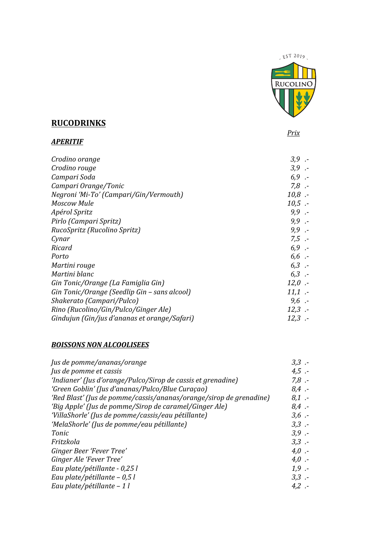$EST$  2019 **RUCOLINO** 

### **RUCODRINKS**

*APERITIF*

 *Prix*

| Crodino orange                               | $3,9$ .  |
|----------------------------------------------|----------|
| Crodino rouge                                | $3,9$ .  |
| Campari Soda                                 | $6,9$ .  |
| Campari Orange/Tonic                         | $7,8$ .  |
| Negroni 'Mi-To' (Campari/Gin/Vermouth)       | $10,8$ . |
| Moscow Mule                                  | $10,5$ . |
| Apérol Spritz                                | $9,9$ .  |
| Pirlo (Campari Spritz)                       | $9,9$ .  |
| RucoSpritz (Rucolino Spritz)                 | $9,9$ .  |
| Cynar                                        | $7.5 -$  |
| Ricard                                       | $6,9$ .  |
| Porto                                        | $6,6$ .  |
| Martini rouge                                | $6,3$ .  |
| Martini blanc                                | $6,3$ .  |
| Gin Tonic/Orange (La Famiglia Gin)           | $12,0$ . |
| Gin Tonic/Orange (Seedlip Gin - sans alcool) | $11,1$ . |
| Shakerato (Campari/Pulco)                    | $9,6 -$  |
| Rino (Rucolino/Gin/Pulco/Ginger Ale)         | $12,3$ . |
| Gindujun (Gin/jus d'ananas et orange/Safari) | $12.3$ . |

#### *BOISSONS NON ALCOOLISEES*

| Jus de pomme/ananas/orange                                         | $3,3$ .  |
|--------------------------------------------------------------------|----------|
| Jus de pomme et cassis                                             | $4.5 -$  |
| 'Indianer' (Jus d'orange/Pulco/Sirop de cassis et grenadine)       | $7,8$ .  |
| 'Green Goblin' (Jus d'ananas/Pulco/Blue Curaçao)                   | $8.4$ .- |
| 'Red Blast' (Jus de pomme/cassis/ananas/orange/sirop de grenadine) | $8.1 -$  |
| 'Big Apple' (Jus de pomme/Sirop de caramel/Ginger Ale)             | $8.4$ .- |
| 'VillaShorle' (Jus de pomme/cassis/eau pétillante)                 | $3,6$ .  |
| 'MelaShorle' (Jus de pomme/eau pétillante)                         | $3,3$ .  |
| Tonic                                                              | $3,9$ .  |
| Fritzkola                                                          | $3,3$ .  |
| Ginger Beer 'Fever Tree'                                           | $4,0$ .  |
| Ginger Ale 'Fever Tree'                                            | $4,0$ .  |
| Eau plate/pétillante - 0,25 l                                      | $1.9 -$  |
| Eau plate/pétillante – 0,5 l                                       | $3,3$ .  |
| Eau plate/pétillante - 1 l                                         | $4.2 -$  |